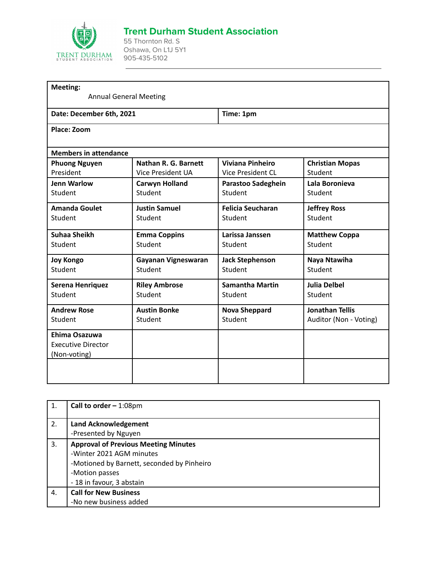

## **Trent Durham Student Association**

55 Thornton Rd. S Oshawa, On L1J 5Y1 905-435-5102

| <b>Meeting:</b><br><b>Annual General Meeting</b> |                             |                          |                        |
|--------------------------------------------------|-----------------------------|--------------------------|------------------------|
|                                                  |                             |                          |                        |
| Date: December 6th, 2021                         |                             | Time: 1pm                |                        |
| Place: Zoom                                      |                             |                          |                        |
| <b>Members in attendance</b>                     |                             |                          |                        |
| <b>Phuong Nguyen</b>                             | <b>Nathan R. G. Barnett</b> | <b>Viviana Pinheiro</b>  | <b>Christian Mopas</b> |
| President                                        | <b>Vice President UA</b>    | <b>Vice President CL</b> | Student                |
| <b>Jenn Warlow</b>                               | <b>Carwyn Holland</b>       | Parastoo Sadeghein       | Lala Boronieva         |
| Student                                          | Student                     | Student                  | Student                |
| <b>Amanda Goulet</b>                             | <b>Justin Samuel</b>        | <b>Felicia Seucharan</b> | <b>Jeffrey Ross</b>    |
| Student                                          | Student                     | Student                  | Student                |
| Suhaa Sheikh                                     | <b>Emma Coppins</b>         | Larissa Janssen          | <b>Matthew Coppa</b>   |
| Student                                          | Student                     | Student                  | Student                |
| <b>Joy Kongo</b>                                 | Gayanan Vigneswaran         | <b>Jack Stephenson</b>   | Naya Ntawiha           |
| Student                                          | Student                     | Student                  | Student                |
| Serena Henriquez                                 | <b>Riley Ambrose</b>        | <b>Samantha Martin</b>   | <b>Julia Delbel</b>    |
| Student                                          | Student                     | Student                  | Student                |
| <b>Andrew Rose</b>                               | <b>Austin Bonke</b>         | <b>Nova Sheppard</b>     | <b>Jonathan Tellis</b> |
| Student                                          | Student                     | Student                  | Auditor (Non - Voting) |
| Ehima Osazuwa                                    |                             |                          |                        |
| <b>Executive Director</b>                        |                             |                          |                        |
| (Non-voting)                                     |                             |                          |                        |
|                                                  |                             |                          |                        |
|                                                  |                             |                          |                        |

| 1. | Call to order $-1:08$ pm                    |
|----|---------------------------------------------|
| 2. | <b>Land Acknowledgement</b>                 |
|    | -Presented by Nguyen                        |
| 3. | <b>Approval of Previous Meeting Minutes</b> |
|    | -Winter 2021 AGM minutes                    |
|    | -Motioned by Barnett, seconded by Pinheiro  |
|    | -Motion passes                              |
|    | - 18 in favour, 3 abstain                   |
| 4. | <b>Call for New Business</b>                |
|    | -No new business added                      |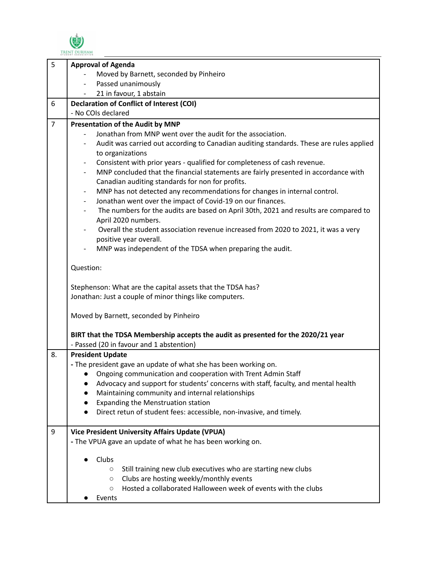

| 5              | <b>Approval of Agenda</b>                                                                             |
|----------------|-------------------------------------------------------------------------------------------------------|
|                | Moved by Barnett, seconded by Pinheiro                                                                |
|                | Passed unanimously                                                                                    |
|                | 21 in favour, 1 abstain                                                                               |
| 6              | <b>Declaration of Conflict of Interest (COI)</b>                                                      |
|                | - No COIs declared                                                                                    |
| $\overline{7}$ | Presentation of the Audit by MNP                                                                      |
|                | Jonathan from MNP went over the audit for the association.                                            |
|                | Audit was carried out according to Canadian auditing standards. These are rules applied               |
|                | to organizations                                                                                      |
|                | Consistent with prior years - qualified for completeness of cash revenue.<br>$\overline{\phantom{a}}$ |
|                | MNP concluded that the financial statements are fairly presented in accordance with                   |
|                | Canadian auditing standards for non for profits.                                                      |
|                | MNP has not detected any recommendations for changes in internal control.                             |
|                | Jonathan went over the impact of Covid-19 on our finances.<br>$\overline{\phantom{a}}$                |
|                | The numbers for the audits are based on April 30th, 2021 and results are compared to                  |
|                | April 2020 numbers.                                                                                   |
|                | Overall the student association revenue increased from 2020 to 2021, it was a very                    |
|                | positive year overall.                                                                                |
|                | MNP was independent of the TDSA when preparing the audit.                                             |
|                | Question:                                                                                             |
|                | Stephenson: What are the capital assets that the TDSA has?                                            |
|                | Jonathan: Just a couple of minor things like computers.                                               |
|                |                                                                                                       |
|                | Moved by Barnett, seconded by Pinheiro                                                                |
|                | BIRT that the TDSA Membership accepts the audit as presented for the 2020/21 year                     |
|                | - Passed (20 in favour and 1 abstention)                                                              |
| 8.             | <b>President Update</b>                                                                               |
|                | - The president gave an update of what she has been working on.                                       |
|                | • Ongoing communication and cooperation with Trent Admin Staff                                        |
|                | Advocacy and support for students' concerns with staff, faculty, and mental health                    |
|                | Maintaining community and internal relationships                                                      |
|                | Expanding the Menstruation station                                                                    |
|                | Direct retun of student fees: accessible, non-invasive, and timely.                                   |
|                |                                                                                                       |
| 9              | <b>Vice President University Affairs Update (VPUA)</b>                                                |
|                | - The VPUA gave an update of what he has been working on.                                             |
|                |                                                                                                       |
|                | Clubs                                                                                                 |
|                | Still training new club executives who are starting new clubs<br>$\circ$                              |
|                | Clubs are hosting weekly/monthly events<br>$\circlearrowright$                                        |
|                | Hosted a collaborated Halloween week of events with the clubs<br>$\bigcirc$                           |
|                | Events                                                                                                |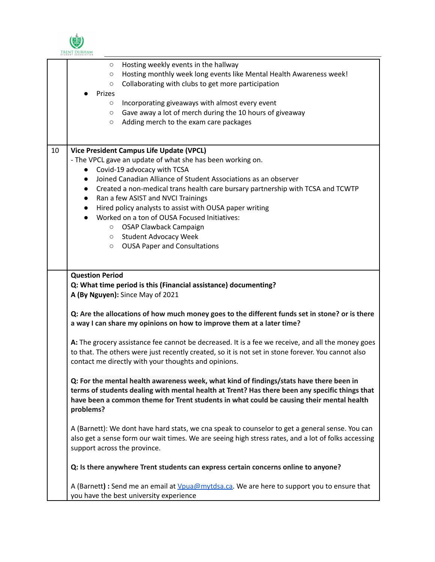

|    | STUDENT ASSOCIATION                                                                                                                                                                                                                                                                                                                                                                                                                                                                                                                                                                                                                                                                                                                                                                                                                                                               |
|----|-----------------------------------------------------------------------------------------------------------------------------------------------------------------------------------------------------------------------------------------------------------------------------------------------------------------------------------------------------------------------------------------------------------------------------------------------------------------------------------------------------------------------------------------------------------------------------------------------------------------------------------------------------------------------------------------------------------------------------------------------------------------------------------------------------------------------------------------------------------------------------------|
|    | Hosting weekly events in the hallway<br>$\circ$<br>Hosting monthly week long events like Mental Health Awareness week!<br>$\circ$<br>Collaborating with clubs to get more participation<br>$\circlearrowright$<br>Prizes<br>Incorporating giveaways with almost every event<br>$\circ$<br>Gave away a lot of merch during the 10 hours of giveaway<br>$\circ$<br>Adding merch to the exam care packages<br>$\circlearrowright$                                                                                                                                                                                                                                                                                                                                                                                                                                                    |
| 10 | <b>Vice President Campus Life Update (VPCL)</b><br>- The VPCL gave an update of what she has been working on.<br>Covid-19 advocacy with TCSA<br>$\bullet$<br>Joined Canadian Alliance of Student Associations as an observer<br>$\bullet$<br>Created a non-medical trans health care bursary partnership with TCSA and TCWTP<br>$\bullet$<br>Ran a few ASIST and NVCI Trainings<br>$\bullet$<br>Hired policy analysts to assist with OUSA paper writing<br>$\bullet$<br>Worked on a ton of OUSA Focused Initiatives:<br>$\bullet$<br>O OSAP Clawback Campaign<br><b>Student Advocacy Week</b><br>$\circ$<br><b>OUSA Paper and Consultations</b><br>$\circ$                                                                                                                                                                                                                        |
|    | <b>Question Period</b><br>Q: What time period is this (Financial assistance) documenting?<br>A (By Nguyen): Since May of 2021<br>Q: Are the allocations of how much money goes to the different funds set in stone? or is there<br>a way I can share my opinions on how to improve them at a later time?<br>A: The grocery assistance fee cannot be decreased. It is a fee we receive, and all the money goes<br>to that. The others were just recently created, so it is not set in stone forever. You cannot also<br>contact me directly with your thoughts and opinions.<br>Q: For the mental health awareness week, what kind of findings/stats have there been in<br>terms of students dealing with mental health at Trent? Has there been any specific things that<br>have been a common theme for Trent students in what could be causing their mental health<br>problems? |
|    | A (Barnett): We dont have hard stats, we cna speak to counselor to get a general sense. You can<br>also get a sense form our wait times. We are seeing high stress rates, and a lot of folks accessing<br>support across the province.<br>Q: Is there anywhere Trent students can express certain concerns online to anyone?                                                                                                                                                                                                                                                                                                                                                                                                                                                                                                                                                      |
|    | A (Barnett) : Send me an email at <i>Vpua@mytdsa.ca</i> . We are here to support you to ensure that<br>you have the best university experience                                                                                                                                                                                                                                                                                                                                                                                                                                                                                                                                                                                                                                                                                                                                    |